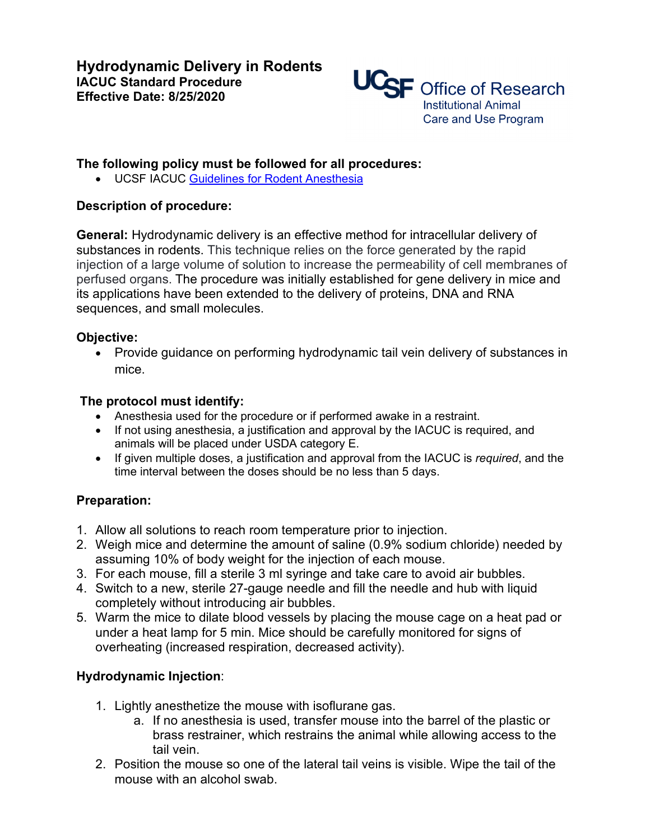

## **The following policy must be followed for all procedures:**

• UCSF IACUC Guidelines for Rodent Anesthesia

### **Description of procedure:**

**General:** Hydrodynamic delivery is an effective method for intracellular delivery of substances in rodents. This technique relies on the force generated by the rapid injection of a large volume of solution to increase the permeability of cell membranes of perfused organs. The procedure was initially established for gene delivery in mice and its applications have been extended to the delivery of proteins, DNA and RNA sequences, and small molecules.

### **Objective:**

• Provide guidance on performing hydrodynamic tail vein delivery of substances in mice.

#### **The protocol must identify:**

- Anesthesia used for the procedure or if performed awake in a restraint.
- If not using anesthesia, a justification and approval by the IACUC is required, and animals will be placed under USDA category E.
- If given multiple doses, a justification and approval from the IACUC is *required*, and the time interval between the doses should be no less than 5 days.

### **Preparation:**

- 1. Allow all solutions to reach room temperature prior to injection.
- 2. Weigh mice and determine the amount of saline (0.9% sodium chloride) needed by assuming 10% of body weight for the injection of each mouse.
- 3. For each mouse, fill a sterile 3 ml syringe and take care to avoid air bubbles.
- 4. Switch to a new, sterile 27-gauge needle and fill the needle and hub with liquid completely without introducing air bubbles.
- 5. Warm the mice to dilate blood vessels by placing the mouse cage on a heat pad or under a heat lamp for 5 min. Mice should be carefully monitored for signs of overheating (increased respiration, decreased activity).

# **Hydrodynamic Injection**:

- 1. Lightly anesthetize the mouse with isoflurane gas.
	- a. If no anesthesia is used, transfer mouse into the barrel of the plastic or brass restrainer, which restrains the animal while allowing access to the tail vein.
- 2. Position the mouse so one of the lateral tail veins is visible. Wipe the tail of the mouse with an alcohol swab.